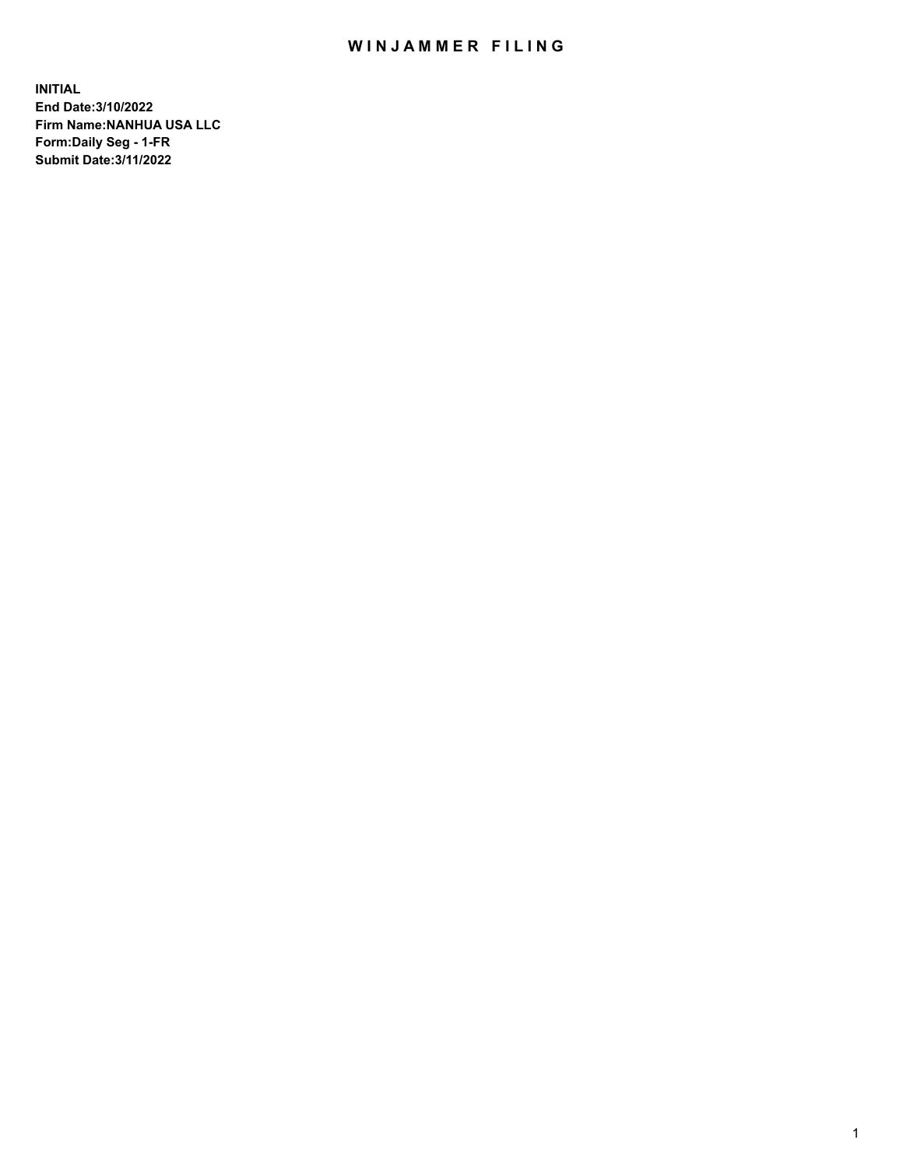## WIN JAMMER FILING

**INITIAL End Date:3/10/2022 Firm Name:NANHUA USA LLC Form:Daily Seg - 1-FR Submit Date:3/11/2022**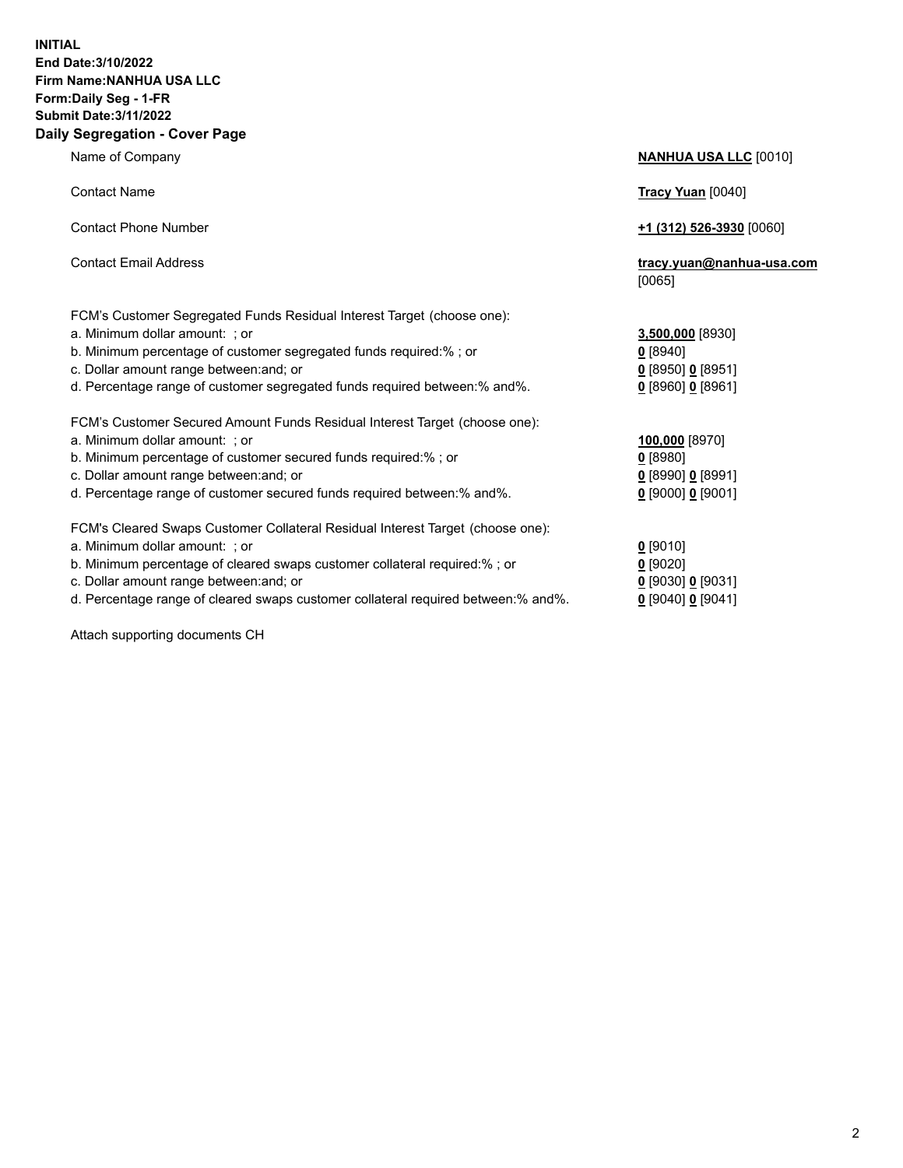## **INITIAL End Date:3/10/2022 Firm Name:NANHUA USA LLC Form:Daily Seg - 1-FR Submit Date:3/11/2022 Daily Segregation - Cover Page**

Name of Company **NANHUA USA LLC** [0010] Contact Name **Tracy Yuan** [0040] Contact Phone Number **+1 (312) 526-3930** [0060] Contact Email Address **tracy.yuan@nanhua-usa.com** [0065] FCM's Customer Segregated Funds Residual Interest Target (choose one): a. Minimum dollar amount: ; or **3,500,000** [8930] b. Minimum percentage of customer segregated funds required:% ; or **0** [8940] c. Dollar amount range between:and; or **0** [8950] **0** [8951] d. Percentage range of customer segregated funds required between:% and%. **0** [8960] **0** [8961] FCM's Customer Secured Amount Funds Residual Interest Target (choose one): a. Minimum dollar amount: ; or **100,000** [8970] b. Minimum percentage of customer secured funds required:% ; or **0** [8980] c. Dollar amount range between:and; or **0** [8990] **0** [8991] d. Percentage range of customer secured funds required between:% and%. **0** [9000] **0** [9001] FCM's Cleared Swaps Customer Collateral Residual Interest Target (choose one): a. Minimum dollar amount: ; or **0** [9010] b. Minimum percentage of cleared swaps customer collateral required:% ; or **0** [9020] c. Dollar amount range between:and; or **0** [9030] **0** [9031] d. Percentage range of cleared swaps customer collateral required between:% and%. **0** [9040] **0** [9041]

Attach supporting documents CH

2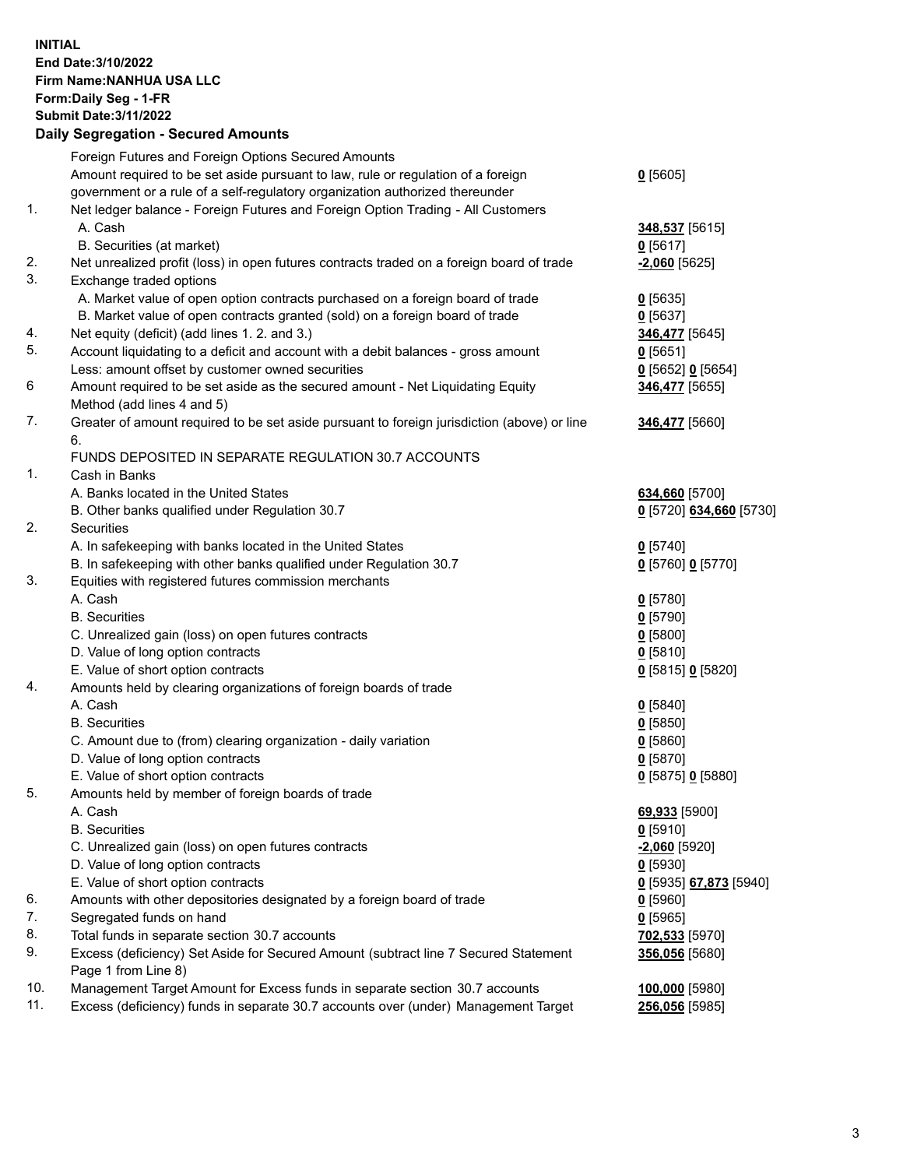## **INITIAL End Date:3/10/2022 Firm Name:NANHUA USA LLC Form:Daily Seg - 1-FR Submit Date:3/11/2022 Daily Segregation - Secured Amounts**

|     | Foreign Futures and Foreign Options Secured Amounts                                                        |                         |
|-----|------------------------------------------------------------------------------------------------------------|-------------------------|
|     | Amount required to be set aside pursuant to law, rule or regulation of a foreign                           | $0$ [5605]              |
|     | government or a rule of a self-regulatory organization authorized thereunder                               |                         |
| 1.  | Net ledger balance - Foreign Futures and Foreign Option Trading - All Customers                            |                         |
|     | A. Cash                                                                                                    | 348,537 [5615]          |
|     | B. Securities (at market)                                                                                  | $0$ [5617]              |
| 2.  | Net unrealized profit (loss) in open futures contracts traded on a foreign board of trade                  | $-2,060$ [5625]         |
| 3.  | Exchange traded options                                                                                    |                         |
|     | A. Market value of open option contracts purchased on a foreign board of trade                             | $0$ [5635]              |
|     | B. Market value of open contracts granted (sold) on a foreign board of trade                               | $0$ [5637]              |
| 4.  | Net equity (deficit) (add lines 1.2. and 3.)                                                               | 346,477 [5645]          |
| 5.  | Account liquidating to a deficit and account with a debit balances - gross amount                          | $0$ [5651]              |
|     | Less: amount offset by customer owned securities                                                           | 0 [5652] 0 [5654]       |
| 6   | Amount required to be set aside as the secured amount - Net Liquidating Equity                             | 346,477 [5655]          |
|     | Method (add lines 4 and 5)                                                                                 |                         |
| 7.  | Greater of amount required to be set aside pursuant to foreign jurisdiction (above) or line                | 346,477 [5660]          |
|     | 6.                                                                                                         |                         |
|     | FUNDS DEPOSITED IN SEPARATE REGULATION 30.7 ACCOUNTS                                                       |                         |
| 1.  | Cash in Banks                                                                                              |                         |
|     | A. Banks located in the United States                                                                      | 634,660 [5700]          |
|     | B. Other banks qualified under Regulation 30.7                                                             | 0 [5720] 634,660 [5730] |
| 2.  | Securities                                                                                                 |                         |
|     | A. In safekeeping with banks located in the United States                                                  | $0$ [5740]              |
|     | B. In safekeeping with other banks qualified under Regulation 30.7                                         | 0 [5760] 0 [5770]       |
| 3.  | Equities with registered futures commission merchants                                                      |                         |
|     | A. Cash                                                                                                    | $0$ [5780]              |
|     | <b>B.</b> Securities                                                                                       | $0$ [5790]              |
|     | C. Unrealized gain (loss) on open futures contracts                                                        | $0$ [5800]              |
|     | D. Value of long option contracts                                                                          | $0$ [5810]              |
|     | E. Value of short option contracts                                                                         | 0 [5815] 0 [5820]       |
| 4.  | Amounts held by clearing organizations of foreign boards of trade                                          |                         |
|     | A. Cash                                                                                                    | 0[5840]                 |
|     | <b>B.</b> Securities                                                                                       | $0$ [5850]              |
|     | C. Amount due to (from) clearing organization - daily variation                                            | $0$ [5860]              |
|     | D. Value of long option contracts                                                                          | $0$ [5870]              |
|     | E. Value of short option contracts                                                                         | 0 [5875] 0 [5880]       |
| 5.  | Amounts held by member of foreign boards of trade                                                          |                         |
|     | A. Cash                                                                                                    | 69,933 [5900]           |
|     | <b>B.</b> Securities                                                                                       | $0$ [5910]              |
|     | C. Unrealized gain (loss) on open futures contracts                                                        | $-2,060$ [5920]         |
|     | D. Value of long option contracts                                                                          | $0$ [5930]              |
|     | E. Value of short option contracts                                                                         | 0 [5935] 67,873 [5940]  |
| 6.  | Amounts with other depositories designated by a foreign board of trade                                     | $0$ [5960]              |
| 7.  | Segregated funds on hand                                                                                   | $0$ [5965]              |
| 8.  | Total funds in separate section 30.7 accounts                                                              | 702,533 [5970]          |
| 9.  | Excess (deficiency) Set Aside for Secured Amount (subtract line 7 Secured Statement<br>Page 1 from Line 8) | 356,056 [5680]          |
| 10. | Management Target Amount for Excess funds in separate section 30.7 accounts                                | 100,000 [5980]          |
| 11. | Excess (deficiency) funds in separate 30.7 accounts over (under) Management Target                         | 256,056 [5985]          |
|     |                                                                                                            |                         |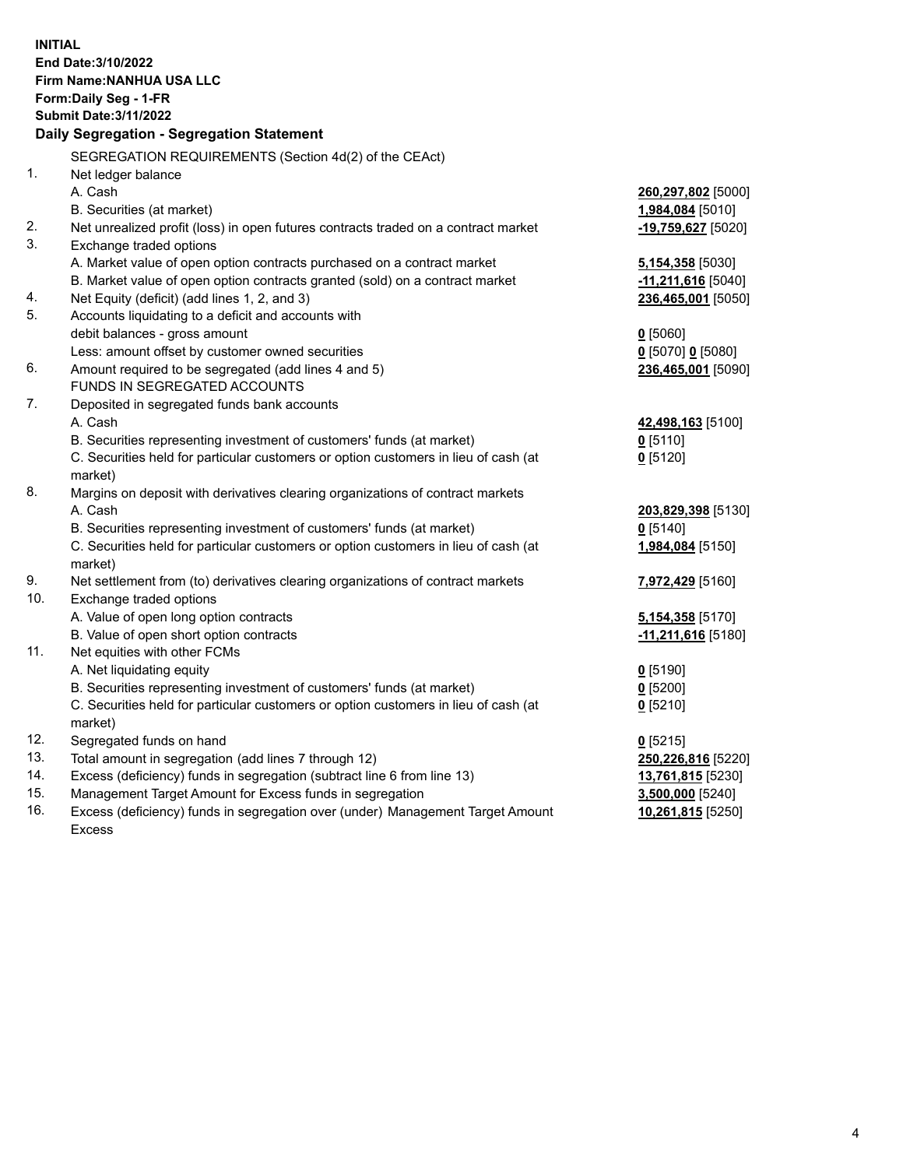**INITIAL End Date:3/10/2022 Firm Name:NANHUA USA LLC Form:Daily Seg - 1-FR Submit Date:3/11/2022 Daily Segregation - Segregation Statement** SEGREGATION REQUIREMENTS (Section 4d(2) of the CEAct) 1. Net ledger balance A. Cash **260,297,802** [5000] B. Securities (at market) **1,984,084** [5010] 2. Net unrealized profit (loss) in open futures contracts traded on a contract market **-19,759,627** [5020] 3. Exchange traded options A. Market value of open option contracts purchased on a contract market **5,154,358** [5030] B. Market value of open option contracts granted (sold) on a contract market **-11,211,616** [5040] 4. Net Equity (deficit) (add lines 1, 2, and 3) **236,465,001** [5050] 5. Accounts liquidating to a deficit and accounts with debit balances - gross amount **0** [5060] Less: amount offset by customer owned securities **0** [5070] **0** [5080] 6. Amount required to be segregated (add lines 4 and 5) **236,465,001** [5090] FUNDS IN SEGREGATED ACCOUNTS 7. Deposited in segregated funds bank accounts A. Cash **42,498,163** [5100] B. Securities representing investment of customers' funds (at market) **0** [5110] C. Securities held for particular customers or option customers in lieu of cash (at market) **0** [5120] 8. Margins on deposit with derivatives clearing organizations of contract markets A. Cash **203,829,398** [5130] B. Securities representing investment of customers' funds (at market) **0** [5140] C. Securities held for particular customers or option customers in lieu of cash (at market) **1,984,084** [5150] 9. Net settlement from (to) derivatives clearing organizations of contract markets **7,972,429** [5160] 10. Exchange traded options A. Value of open long option contracts **5,154,358** [5170] B. Value of open short option contracts **-11,211,616** [5180] 11. Net equities with other FCMs A. Net liquidating equity **0** [5190] B. Securities representing investment of customers' funds (at market) **0** [5200] C. Securities held for particular customers or option customers in lieu of cash (at market) **0** [5210] 12. Segregated funds on hand **0** [5215] 13. Total amount in segregation (add lines 7 through 12) **250,226,816** [5220] 14. Excess (deficiency) funds in segregation (subtract line 6 from line 13) **13,761,815** [5230] 15. Management Target Amount for Excess funds in segregation **3,500,000** [5240] 16. Excess (deficiency) funds in segregation over (under) Management Target Amount Excess **10,261,815** [5250]